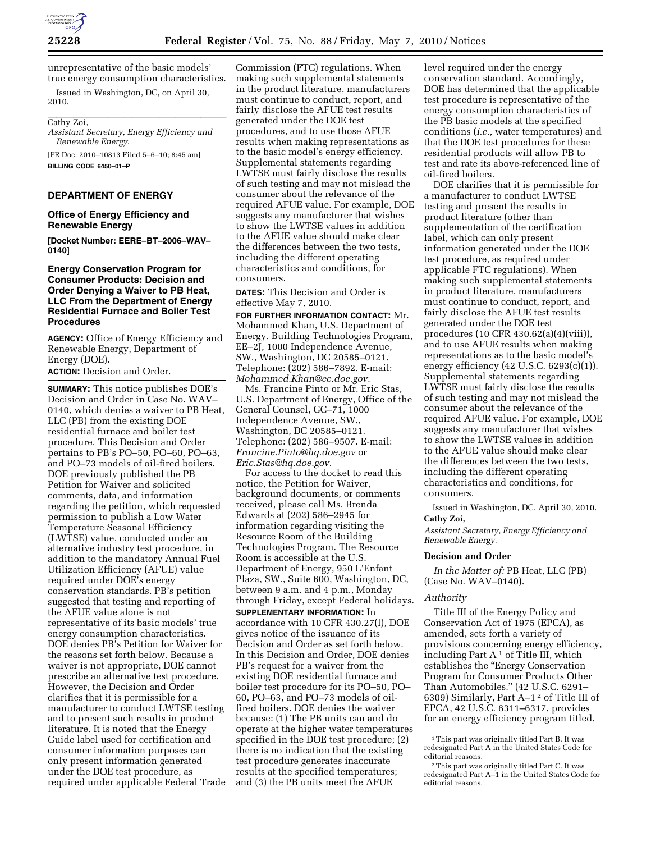

unrepresentative of the basic models' true energy consumption characteristics.

Issued in Washington, DC, on April 30, 2010.

# Cathy Zoi,

*Assistant Secretary, Energy Efficiency and Renewable Energy*.

[FR Doc. 2010–10813 Filed 5–6–10; 8:45 am] **BILLING CODE 6450–01–P** 

## **DEPARTMENT OF ENERGY**

## **Office of Energy Efficiency and Renewable Energy**

**[Docket Number: EERE–BT–2006–WAV– 0140]** 

## **Energy Conservation Program for Consumer Products: Decision and Order Denying a Waiver to PB Heat, LLC From the Department of Energy Residential Furnace and Boiler Test Procedures**

**AGENCY:** Office of Energy Efficiency and Renewable Energy, Department of Energy (DOE).

**ACTION:** Decision and Order.

**SUMMARY:** This notice publishes DOE's Decision and Order in Case No. WAV– 0140, which denies a waiver to PB Heat, LLC (PB) from the existing DOE residential furnace and boiler test procedure. This Decision and Order pertains to PB's PO–50, PO–60, PO–63, and PO–73 models of oil-fired boilers. DOE previously published the PB Petition for Waiver and solicited comments, data, and information regarding the petition, which requested permission to publish a Low Water Temperature Seasonal Efficiency (LWTSE) value, conducted under an alternative industry test procedure, in addition to the mandatory Annual Fuel Utilization Efficiency (AFUE) value required under DOE's energy conservation standards. PB's petition suggested that testing and reporting of the AFUE value alone is not representative of its basic models' true energy consumption characteristics. DOE denies PB's Petition for Waiver for the reasons set forth below. Because a waiver is not appropriate, DOE cannot prescribe an alternative test procedure. However, the Decision and Order clarifies that it is permissible for a manufacturer to conduct LWTSE testing and to present such results in product literature. It is noted that the Energy Guide label used for certification and consumer information purposes can only present information generated under the DOE test procedure, as required under applicable Federal Trade

Commission (FTC) regulations. When making such supplemental statements in the product literature, manufacturers must continue to conduct, report, and fairly disclose the AFUE test results generated under the DOE test procedures, and to use those AFUE results when making representations as to the basic model's energy efficiency. Supplemental statements regarding LWTSE must fairly disclose the results of such testing and may not mislead the consumer about the relevance of the required AFUE value. For example, DOE suggests any manufacturer that wishes to show the LWTSE values in addition to the AFUE value should make clear the differences between the two tests, including the different operating characteristics and conditions, for consumers.

**DATES:** This Decision and Order is effective May 7, 2010.

**FOR FURTHER INFORMATION CONTACT:** Mr. Mohammed Khan, U.S. Department of Energy, Building Technologies Program, EE–2J, 1000 Independence Avenue, SW., Washington, DC 20585–0121. Telephone: (202) 586–7892. E-mail: *Mohammed.Khan@ee.doe.gov.* 

Ms. Francine Pinto or Mr. Eric Stas, U.S. Department of Energy, Office of the General Counsel, GC–71, 1000 Independence Avenue, SW., Washington, DC 20585–0121. Telephone: (202) 586–9507. E-mail: *Francine.Pinto@hq.doe.gov* or *Eric.Stas@hq.doe.gov.* 

For access to the docket to read this notice, the Petition for Waiver, background documents, or comments received, please call Ms. Brenda Edwards at (202) 586–2945 for information regarding visiting the Resource Room of the Building Technologies Program. The Resource Room is accessible at the U.S. Department of Energy, 950 L'Enfant Plaza, SW., Suite 600, Washington, DC, between 9 a.m. and 4 p.m., Monday through Friday, except Federal holidays. **SUPPLEMENTARY INFORMATION:** In accordance with 10 CFR 430.27(l), DOE gives notice of the issuance of its Decision and Order as set forth below. In this Decision and Order, DOE denies PB's request for a waiver from the existing DOE residential furnace and boiler test procedure for its PO–50, PO– 60, PO–63, and PO–73 models of oilfired boilers. DOE denies the waiver because: (1) The PB units can and do operate at the higher water temperatures specified in the DOE test procedure; (2) there is no indication that the existing test procedure generates inaccurate results at the specified temperatures; and (3) the PB units meet the AFUE

level required under the energy conservation standard. Accordingly, DOE has determined that the applicable test procedure is representative of the energy consumption characteristics of the PB basic models at the specified conditions (*i.e.,* water temperatures) and that the DOE test procedures for these residential products will allow PB to test and rate its above-referenced line of oil-fired boilers.

DOE clarifies that it is permissible for a manufacturer to conduct LWTSE testing and present the results in product literature (other than supplementation of the certification label, which can only present information generated under the DOE test procedure, as required under applicable FTC regulations). When making such supplemental statements in product literature, manufacturers must continue to conduct, report, and fairly disclose the AFUE test results generated under the DOE test procedures (10 CFR 430.62(a)(4)(viii)), and to use AFUE results when making representations as to the basic model's energy efficiency (42 U.S.C. 6293(c)(1)). Supplemental statements regarding LWTSE must fairly disclose the results of such testing and may not mislead the consumer about the relevance of the required AFUE value. For example, DOE suggests any manufacturer that wishes to show the LWTSE values in addition to the AFUE value should make clear the differences between the two tests, including the different operating characteristics and conditions, for consumers.

Issued in Washington, DC, April 30, 2010. **Cathy Zoi,** 

*Assistant Secretary, Energy Efficiency and Renewable Energy.* 

#### **Decision and Order**

*In the Matter of:* PB Heat, LLC (PB) (Case No. WAV–0140).

#### *Authority*

Title III of the Energy Policy and Conservation Act of 1975 (EPCA), as amended, sets forth a variety of provisions concerning energy efficiency, including Part  $A<sup>1</sup>$  of Title III, which establishes the "Energy Conservation Program for Consumer Products Other Than Automobiles.'' (42 U.S.C. 6291– 6309) Similarly, Part A–1 2 of Title III of EPCA, 42 U.S.C. 6311–6317, provides for an energy efficiency program titled,

<sup>1</sup>This part was originally titled Part B. It was redesignated Part A in the United States Code for editorial reasons.

<sup>2</sup>This part was originally titled Part C. It was redesignated Part A–1 in the United States Code for editorial reasons.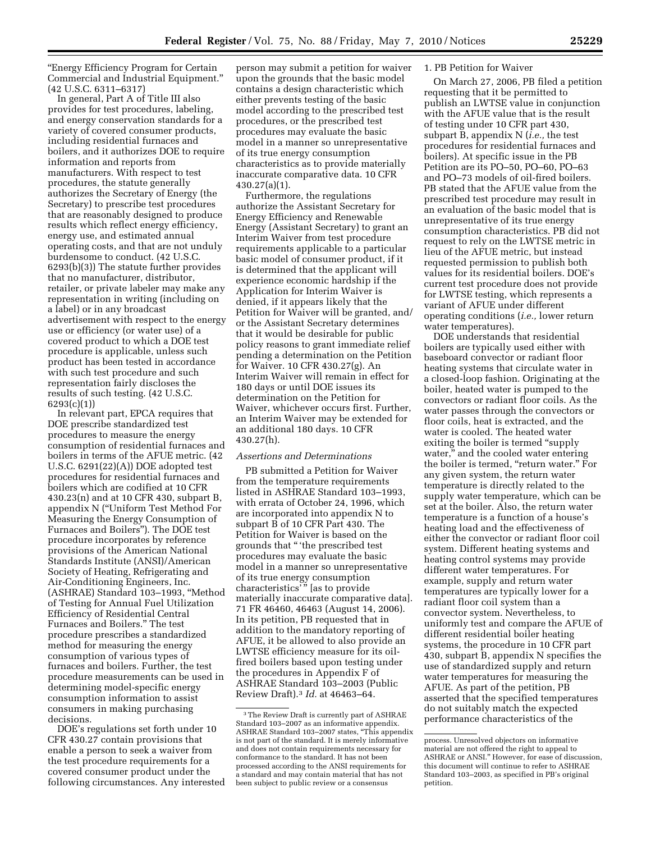''Energy Efficiency Program for Certain Commercial and Industrial Equipment.'' (42 U.S.C. 6311–6317)

In general, Part A of Title III also provides for test procedures, labeling, and energy conservation standards for a variety of covered consumer products, including residential furnaces and boilers, and it authorizes DOE to require information and reports from manufacturers. With respect to test procedures, the statute generally authorizes the Secretary of Energy (the Secretary) to prescribe test procedures that are reasonably designed to produce results which reflect energy efficiency, energy use, and estimated annual operating costs, and that are not unduly burdensome to conduct. (42 U.S.C. 6293(b)(3)) The statute further provides that no manufacturer, distributor, retailer, or private labeler may make any representation in writing (including on a label) or in any broadcast advertisement with respect to the energy use or efficiency (or water use) of a covered product to which a DOE test procedure is applicable, unless such product has been tested in accordance with such test procedure and such representation fairly discloses the results of such testing. (42 U.S.C. 6293(c)(1))

In relevant part, EPCA requires that DOE prescribe standardized test procedures to measure the energy consumption of residential furnaces and boilers in terms of the AFUE metric. (42 U.S.C. 6291(22)(A)) DOE adopted test procedures for residential furnaces and boilers which are codified at 10 CFR 430.23(n) and at 10 CFR 430, subpart B, appendix N (''Uniform Test Method For Measuring the Energy Consumption of Furnaces and Boilers''). The DOE test procedure incorporates by reference provisions of the American National Standards Institute (ANSI)/American Society of Heating, Refrigerating and Air-Conditioning Engineers, Inc. (ASHRAE) Standard 103–1993, ''Method of Testing for Annual Fuel Utilization Efficiency of Residential Central Furnaces and Boilers.'' The test procedure prescribes a standardized method for measuring the energy consumption of various types of furnaces and boilers. Further, the test procedure measurements can be used in determining model-specific energy consumption information to assist consumers in making purchasing decisions.

DOE's regulations set forth under 10 CFR 430.27 contain provisions that enable a person to seek a waiver from the test procedure requirements for a covered consumer product under the following circumstances. Any interested

person may submit a petition for waiver upon the grounds that the basic model contains a design characteristic which either prevents testing of the basic model according to the prescribed test procedures, or the prescribed test procedures may evaluate the basic model in a manner so unrepresentative of its true energy consumption characteristics as to provide materially inaccurate comparative data. 10 CFR 430.27(a)(1).

Furthermore, the regulations authorize the Assistant Secretary for Energy Efficiency and Renewable Energy (Assistant Secretary) to grant an Interim Waiver from test procedure requirements applicable to a particular basic model of consumer product, if it is determined that the applicant will experience economic hardship if the Application for Interim Waiver is denied, if it appears likely that the Petition for Waiver will be granted, and/ or the Assistant Secretary determines that it would be desirable for public policy reasons to grant immediate relief pending a determination on the Petition for Waiver. 10 CFR 430.27(g). An Interim Waiver will remain in effect for 180 days or until DOE issues its determination on the Petition for Waiver, whichever occurs first. Further, an Interim Waiver may be extended for an additional 180 days. 10 CFR 430.27(h).

#### *Assertions and Determinations*

PB submitted a Petition for Waiver from the temperature requirements listed in ASHRAE Standard 103–1993, with errata of October 24, 1996, which are incorporated into appendix N to subpart B of 10 CFR Part 430. The Petition for Waiver is based on the grounds that '' 'the prescribed test procedures may evaluate the basic model in a manner so unrepresentative of its true energy consumption characteristics' '' [as to provide materially inaccurate comparative data]. 71 FR 46460, 46463 (August 14, 2006). In its petition, PB requested that in addition to the mandatory reporting of AFUE, it be allowed to also provide an LWTSE efficiency measure for its oilfired boilers based upon testing under the procedures in Appendix F of ASHRAE Standard 103–2003 (Public Review Draft).3 *Id.* at 46463–64.

## 1. PB Petition for Waiver

On March 27, 2006, PB filed a petition requesting that it be permitted to publish an LWTSE value in conjunction with the AFUE value that is the result of testing under 10 CFR part 430, subpart B, appendix N (*i.e.,* the test procedures for residential furnaces and boilers). At specific issue in the PB Petition are its PO–50, PO–60, PO–63 and PO–73 models of oil-fired boilers. PB stated that the AFUE value from the prescribed test procedure may result in an evaluation of the basic model that is unrepresentative of its true energy consumption characteristics. PB did not request to rely on the LWTSE metric in lieu of the AFUE metric, but instead requested permission to publish both values for its residential boilers. DOE's current test procedure does not provide for LWTSE testing, which represents a variant of AFUE under different operating conditions (*i.e.,* lower return water temperatures).

DOE understands that residential boilers are typically used either with baseboard convector or radiant floor heating systems that circulate water in a closed-loop fashion. Originating at the boiler, heated water is pumped to the convectors or radiant floor coils. As the water passes through the convectors or floor coils, heat is extracted, and the water is cooled. The heated water exiting the boiler is termed "supply water,'' and the cooled water entering the boiler is termed, "return water." For any given system, the return water temperature is directly related to the supply water temperature, which can be set at the boiler. Also, the return water temperature is a function of a house's heating load and the effectiveness of either the convector or radiant floor coil system. Different heating systems and heating control systems may provide different water temperatures. For example, supply and return water temperatures are typically lower for a radiant floor coil system than a convector system. Nevertheless, to uniformly test and compare the AFUE of different residential boiler heating systems, the procedure in 10 CFR part 430, subpart B, appendix N specifies the use of standardized supply and return water temperatures for measuring the AFUE. As part of the petition, PB asserted that the specified temperatures do not suitably match the expected performance characteristics of the

<sup>3</sup>The Review Draft is currently part of ASHRAE Standard 103–2007 as an informative appendix. ASHRAE Standard 103–2007 states, ''This appendix is not part of the standard. It is merely informative and does not contain requirements necessary for conformance to the standard. It has not been processed according to the ANSI requirements for a standard and may contain material that has not been subject to public review or a consensus

process. Unresolved objectors on informative material are not offered the right to appeal to ASHRAE or ANSI.'' However, for ease of discussion, this document will continue to refer to ASHRAE Standard 103–2003, as specified in PB's original petition.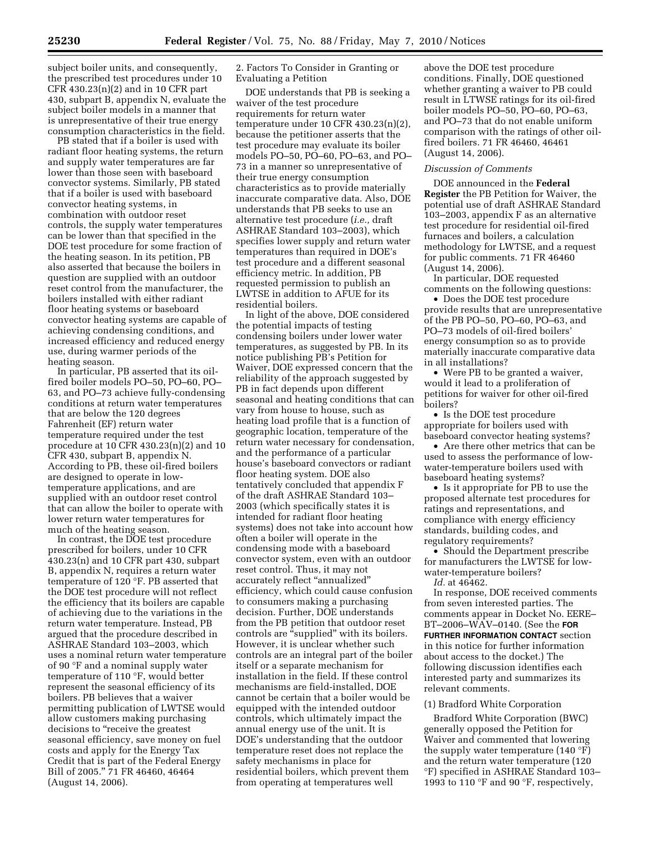subject boiler units, and consequently, the prescribed test procedures under 10 CFR 430.23(n)(2) and in 10 CFR part 430, subpart B, appendix N, evaluate the subject boiler models in a manner that is unrepresentative of their true energy consumption characteristics in the field.

PB stated that if a boiler is used with radiant floor heating systems, the return and supply water temperatures are far lower than those seen with baseboard convector systems. Similarly, PB stated that if a boiler is used with baseboard convector heating systems, in combination with outdoor reset controls, the supply water temperatures can be lower than that specified in the DOE test procedure for some fraction of the heating season. In its petition, PB also asserted that because the boilers in question are supplied with an outdoor reset control from the manufacturer, the boilers installed with either radiant floor heating systems or baseboard convector heating systems are capable of achieving condensing conditions, and increased efficiency and reduced energy use, during warmer periods of the heating season.

In particular, PB asserted that its oilfired boiler models PO–50, PO–60, PO– 63, and PO–73 achieve fully-condensing conditions at return water temperatures that are below the 120 degrees Fahrenheit (EF) return water temperature required under the test procedure at 10 CFR 430.23(n)(2) and 10 CFR 430, subpart B, appendix N. According to PB, these oil-fired boilers are designed to operate in lowtemperature applications, and are supplied with an outdoor reset control that can allow the boiler to operate with lower return water temperatures for much of the heating season.

In contrast, the DOE test procedure prescribed for boilers, under 10 CFR 430.23(n) and 10 CFR part 430, subpart B, appendix N, requires a return water temperature of 120 °F. PB asserted that the DOE test procedure will not reflect the efficiency that its boilers are capable of achieving due to the variations in the return water temperature. Instead, PB argued that the procedure described in ASHRAE Standard 103–2003, which uses a nominal return water temperature of 90 °F and a nominal supply water temperature of 110 °F, would better represent the seasonal efficiency of its boilers. PB believes that a waiver permitting publication of LWTSE would allow customers making purchasing decisions to "receive the greatest" seasonal efficiency, save money on fuel costs and apply for the Energy Tax Credit that is part of the Federal Energy Bill of 2005.'' 71 FR 46460, 46464 (August 14, 2006).

2. Factors To Consider in Granting or Evaluating a Petition

DOE understands that PB is seeking a waiver of the test procedure requirements for return water temperature under 10 CFR 430.23(n)(2), because the petitioner asserts that the test procedure may evaluate its boiler models PO–50, PO–60, PO–63, and PO– 73 in a manner so unrepresentative of their true energy consumption characteristics as to provide materially inaccurate comparative data. Also, DOE understands that PB seeks to use an alternative test procedure (*i.e.,* draft ASHRAE Standard 103–2003), which specifies lower supply and return water temperatures than required in DOE's test procedure and a different seasonal efficiency metric. In addition, PB requested permission to publish an LWTSE in addition to AFUE for its residential boilers.

In light of the above, DOE considered the potential impacts of testing condensing boilers under lower water temperatures, as suggested by PB. In its notice publishing PB's Petition for Waiver, DOE expressed concern that the reliability of the approach suggested by PB in fact depends upon different seasonal and heating conditions that can vary from house to house, such as heating load profile that is a function of geographic location, temperature of the return water necessary for condensation, and the performance of a particular house's baseboard convectors or radiant floor heating system. DOE also tentatively concluded that appendix F of the draft ASHRAE Standard 103– 2003 (which specifically states it is intended for radiant floor heating systems) does not take into account how often a boiler will operate in the condensing mode with a baseboard convector system, even with an outdoor reset control. Thus, it may not accurately reflect ''annualized'' efficiency, which could cause confusion to consumers making a purchasing decision. Further, DOE understands from the PB petition that outdoor reset controls are ''supplied'' with its boilers. However, it is unclear whether such controls are an integral part of the boiler itself or a separate mechanism for installation in the field. If these control mechanisms are field-installed, DOE cannot be certain that a boiler would be equipped with the intended outdoor controls, which ultimately impact the annual energy use of the unit. It is DOE's understanding that the outdoor temperature reset does not replace the safety mechanisms in place for residential boilers, which prevent them from operating at temperatures well

above the DOE test procedure conditions. Finally, DOE questioned whether granting a waiver to PB could result in LTWSE ratings for its oil-fired boiler models PO–50, PO–60, PO–63, and PO–73 that do not enable uniform comparison with the ratings of other oilfired boilers. 71 FR 46460, 46461 (August 14, 2006).

## *Discussion of Comments*

DOE announced in the **Federal Register** the PB Petition for Waiver, the potential use of draft ASHRAE Standard 103–2003, appendix F as an alternative test procedure for residential oil-fired furnaces and boilers, a calculation methodology for LWTSE, and a request for public comments. 71 FR 46460 (August 14, 2006).

In particular, DOE requested comments on the following questions:

• Does the DOE test procedure provide results that are unrepresentative of the PB PO–50, PO–60, PO–63, and PO–73 models of oil-fired boilers' energy consumption so as to provide materially inaccurate comparative data in all installations?

• Were PB to be granted a waiver, would it lead to a proliferation of petitions for waiver for other oil-fired boilers?

• Is the DOE test procedure appropriate for boilers used with baseboard convector heating systems?

• Are there other metrics that can be used to assess the performance of lowwater-temperature boilers used with baseboard heating systems?

• Is it appropriate for PB to use the proposed alternate test procedures for ratings and representations, and compliance with energy efficiency standards, building codes, and regulatory requirements?

• Should the Department prescribe for manufacturers the LWTSE for lowwater-temperature boilers?

*Id.* at 46462.

In response, DOE received comments from seven interested parties. The comments appear in Docket No. EERE– BT–2006–WAV–0140. (See the **FOR FURTHER INFORMATION CONTACT** section in this notice for further information about access to the docket.) The following discussion identifies each interested party and summarizes its relevant comments.

## (1) Bradford White Corporation

Bradford White Corporation (BWC) generally opposed the Petition for Waiver and commented that lowering the supply water temperature (140 °F) and the return water temperature (120 °F) specified in ASHRAE Standard 103– 1993 to 110 °F and 90 °F, respectively,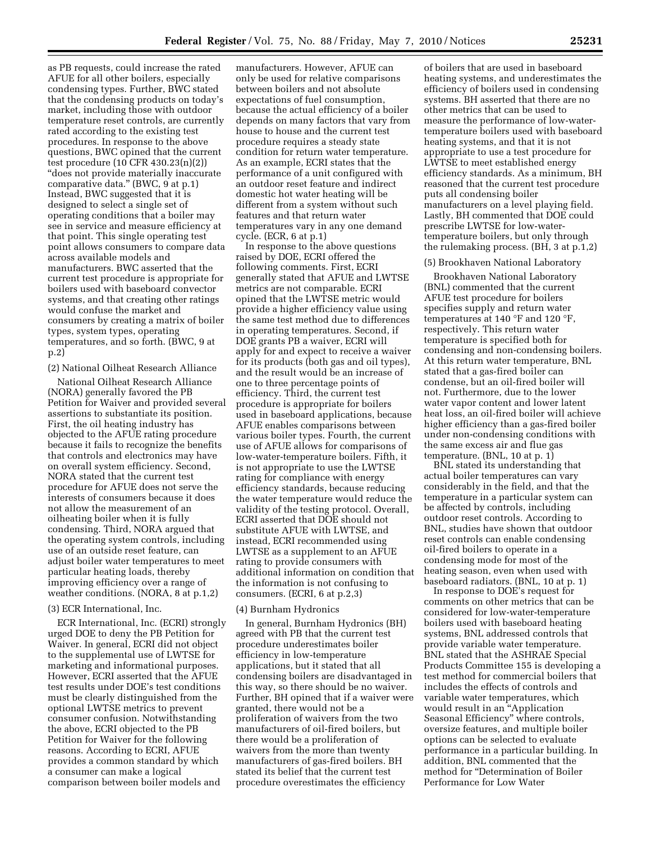as PB requests, could increase the rated AFUE for all other boilers, especially condensing types. Further, BWC stated that the condensing products on today's market, including those with outdoor temperature reset controls, are currently rated according to the existing test procedures. In response to the above questions, BWC opined that the current test procedure (10 CFR 430.23(n)(2)) ''does not provide materially inaccurate comparative data.'' (BWC, 9 at p.1) Instead, BWC suggested that it is designed to select a single set of operating conditions that a boiler may see in service and measure efficiency at that point. This single operating test point allows consumers to compare data across available models and manufacturers. BWC asserted that the current test procedure is appropriate for boilers used with baseboard convector systems, and that creating other ratings would confuse the market and consumers by creating a matrix of boiler types, system types, operating temperatures, and so forth. (BWC, 9 at p.2)

## (2) National Oilheat Research Alliance

National Oilheat Research Alliance (NORA) generally favored the PB Petition for Waiver and provided several assertions to substantiate its position. First, the oil heating industry has objected to the AFUE rating procedure because it fails to recognize the benefits that controls and electronics may have on overall system efficiency. Second, NORA stated that the current test procedure for AFUE does not serve the interests of consumers because it does not allow the measurement of an oilheating boiler when it is fully condensing. Third, NORA argued that the operating system controls, including use of an outside reset feature, can adjust boiler water temperatures to meet particular heating loads, thereby improving efficiency over a range of weather conditions. (NORA, 8 at p.1,2)

#### (3) ECR International, Inc.

ECR International, Inc. (ECRI) strongly urged DOE to deny the PB Petition for Waiver. In general, ECRI did not object to the supplemental use of LWTSE for marketing and informational purposes. However, ECRI asserted that the AFUE test results under DOE's test conditions must be clearly distinguished from the optional LWTSE metrics to prevent consumer confusion. Notwithstanding the above, ECRI objected to the PB Petition for Waiver for the following reasons. According to ECRI, AFUE provides a common standard by which a consumer can make a logical comparison between boiler models and

manufacturers. However, AFUE can only be used for relative comparisons between boilers and not absolute expectations of fuel consumption, because the actual efficiency of a boiler depends on many factors that vary from house to house and the current test procedure requires a steady state condition for return water temperature. As an example, ECRI states that the performance of a unit configured with an outdoor reset feature and indirect domestic hot water heating will be different from a system without such features and that return water temperatures vary in any one demand cycle. (ECR, 6 at p.1)

In response to the above questions raised by DOE, ECRI offered the following comments. First, ECRI generally stated that AFUE and LWTSE metrics are not comparable. ECRI opined that the LWTSE metric would provide a higher efficiency value using the same test method due to differences in operating temperatures. Second, if DOE grants PB a waiver, ECRI will apply for and expect to receive a waiver for its products (both gas and oil types), and the result would be an increase of one to three percentage points of efficiency. Third, the current test procedure is appropriate for boilers used in baseboard applications, because AFUE enables comparisons between various boiler types. Fourth, the current use of AFUE allows for comparisons of low-water-temperature boilers. Fifth, it is not appropriate to use the LWTSE rating for compliance with energy efficiency standards, because reducing the water temperature would reduce the validity of the testing protocol. Overall, ECRI asserted that DOE should not substitute AFUE with LWTSE, and instead, ECRI recommended using LWTSE as a supplement to an AFUE rating to provide consumers with additional information on condition that the information is not confusing to consumers. (ECRI, 6 at p.2,3)

#### (4) Burnham Hydronics

In general, Burnham Hydronics (BH) agreed with PB that the current test procedure underestimates boiler efficiency in low-temperature applications, but it stated that all condensing boilers are disadvantaged in this way, so there should be no waiver. Further, BH opined that if a waiver were granted, there would not be a proliferation of waivers from the two manufacturers of oil-fired boilers, but there would be a proliferation of waivers from the more than twenty manufacturers of gas-fired boilers. BH stated its belief that the current test procedure overestimates the efficiency

of boilers that are used in baseboard heating systems, and underestimates the efficiency of boilers used in condensing systems. BH asserted that there are no other metrics that can be used to measure the performance of low-watertemperature boilers used with baseboard heating systems, and that it is not appropriate to use a test procedure for LWTSE to meet established energy efficiency standards. As a minimum, BH reasoned that the current test procedure puts all condensing boiler manufacturers on a level playing field. Lastly, BH commented that DOE could prescribe LWTSE for low-watertemperature boilers, but only through the rulemaking process. (BH, 3 at p.1,2)

#### (5) Brookhaven National Laboratory

Brookhaven National Laboratory (BNL) commented that the current AFUE test procedure for boilers specifies supply and return water temperatures at 140 °F and 120 °F, respectively. This return water temperature is specified both for condensing and non-condensing boilers. At this return water temperature, BNL stated that a gas-fired boiler can condense, but an oil-fired boiler will not. Furthermore, due to the lower water vapor content and lower latent heat loss, an oil-fired boiler will achieve higher efficiency than a gas-fired boiler under non-condensing conditions with the same excess air and flue gas temperature.  $(BNL, 10$  at p. 1)

BNL stated its understanding that actual boiler temperatures can vary considerably in the field, and that the temperature in a particular system can be affected by controls, including outdoor reset controls. According to BNL, studies have shown that outdoor reset controls can enable condensing oil-fired boilers to operate in a condensing mode for most of the heating season, even when used with baseboard radiators. (BNL, 10 at p. 1)

In response to DOE's request for comments on other metrics that can be considered for low-water-temperature boilers used with baseboard heating systems, BNL addressed controls that provide variable water temperature. BNL stated that the ASHRAE Special Products Committee 155 is developing a test method for commercial boilers that includes the effects of controls and variable water temperatures, which would result in an ''Application Seasonal Efficiency'' where controls, oversize features, and multiple boiler options can be selected to evaluate performance in a particular building. In addition, BNL commented that the method for ''Determination of Boiler Performance for Low Water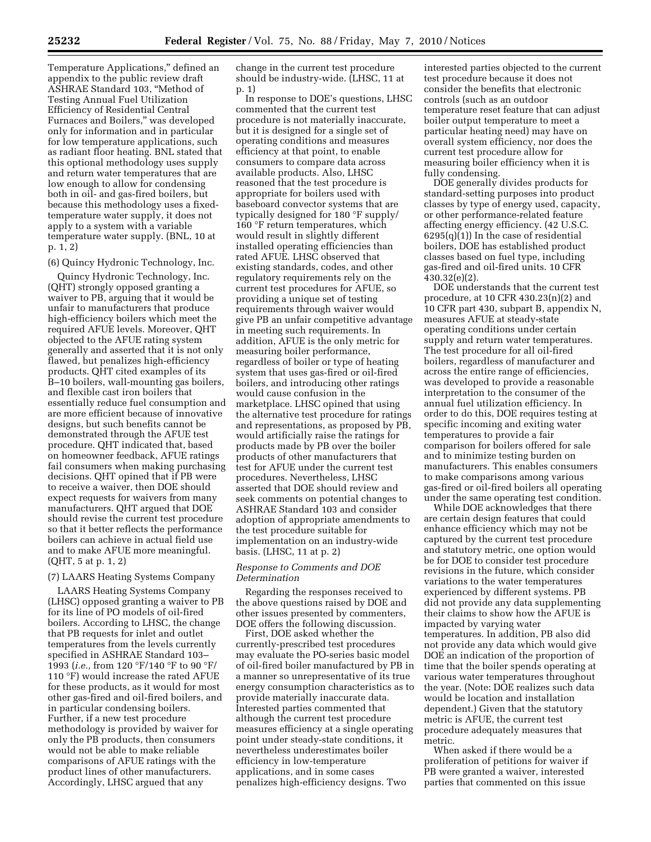Temperature Applications,'' defined an appendix to the public review draft ASHRAE Standard 103, ''Method of Testing Annual Fuel Utilization Efficiency of Residential Central Furnaces and Boilers,'' was developed only for information and in particular for low temperature applications, such as radiant floor heating. BNL stated that this optional methodology uses supply and return water temperatures that are low enough to allow for condensing both in oil- and gas-fired boilers, but because this methodology uses a fixedtemperature water supply, it does not apply to a system with a variable temperature water supply. (BNL, 10 at p. 1, 2)

## (6) Quincy Hydronic Technology, Inc.

Quincy Hydronic Technology, Inc. (QHT) strongly opposed granting a waiver to PB, arguing that it would be unfair to manufacturers that produce high-efficiency boilers which meet the required AFUE levels. Moreover, QHT objected to the AFUE rating system generally and asserted that it is not only flawed, but penalizes high-efficiency products. QHT cited examples of its B–10 boilers, wall-mounting gas boilers, and flexible cast iron boilers that essentially reduce fuel consumption and are more efficient because of innovative designs, but such benefits cannot be demonstrated through the AFUE test procedure. QHT indicated that, based on homeowner feedback, AFUE ratings fail consumers when making purchasing decisions. QHT opined that if PB were to receive a waiver, then DOE should expect requests for waivers from many manufacturers. QHT argued that DOE should revise the current test procedure so that it better reflects the performance boilers can achieve in actual field use and to make AFUE more meaningful. (QHT, 5 at p. 1, 2)

## (7) LAARS Heating Systems Company

LAARS Heating Systems Company (LHSC) opposed granting a waiver to PB for its line of PO models of oil-fired boilers. According to LHSC, the change that PB requests for inlet and outlet temperatures from the levels currently specified in ASHRAE Standard 103– 1993 (*i.e.,* from 120 °F/140 °F to 90 °F/ 110 °F) would increase the rated AFUE for these products, as it would for most other gas-fired and oil-fired boilers, and in particular condensing boilers. Further, if a new test procedure methodology is provided by waiver for only the PB products, then consumers would not be able to make reliable comparisons of AFUE ratings with the product lines of other manufacturers. Accordingly, LHSC argued that any

change in the current test procedure should be industry-wide. (LHSC, 11 at p. 1)

In response to DOE's questions, LHSC commented that the current test procedure is not materially inaccurate, but it is designed for a single set of operating conditions and measures efficiency at that point, to enable consumers to compare data across available products. Also, LHSC reasoned that the test procedure is appropriate for boilers used with baseboard convector systems that are typically designed for 180 °F supply/ 160 °F return temperatures, which would result in slightly different installed operating efficiencies than rated AFUE. LHSC observed that existing standards, codes, and other regulatory requirements rely on the current test procedures for AFUE, so providing a unique set of testing requirements through waiver would give PB an unfair competitive advantage in meeting such requirements. In addition, AFUE is the only metric for measuring boiler performance, regardless of boiler or type of heating system that uses gas-fired or oil-fired boilers, and introducing other ratings would cause confusion in the marketplace. LHSC opined that using the alternative test procedure for ratings and representations, as proposed by PB, would artificially raise the ratings for products made by PB over the boiler products of other manufacturers that test for AFUE under the current test procedures. Nevertheless, LHSC asserted that DOE should review and seek comments on potential changes to ASHRAE Standard 103 and consider adoption of appropriate amendments to the test procedure suitable for implementation on an industry-wide basis. (LHSC, 11 at p. 2)

## *Response to Comments and DOE Determination*

Regarding the responses received to the above questions raised by DOE and other issues presented by commenters, DOE offers the following discussion.

First, DOE asked whether the currently-prescribed test procedures may evaluate the PO-series basic model of oil-fired boiler manufactured by PB in a manner so unrepresentative of its true energy consumption characteristics as to provide materially inaccurate data. Interested parties commented that although the current test procedure measures efficiency at a single operating point under steady-state conditions, it nevertheless underestimates boiler efficiency in low-temperature applications, and in some cases penalizes high-efficiency designs. Two

interested parties objected to the current test procedure because it does not consider the benefits that electronic controls (such as an outdoor temperature reset feature that can adjust boiler output temperature to meet a particular heating need) may have on overall system efficiency, nor does the current test procedure allow for measuring boiler efficiency when it is fully condensing.

DOE generally divides products for standard-setting purposes into product classes by type of energy used, capacity, or other performance-related feature affecting energy efficiency. (42 U.S.C.  $6295(q)(1)$  In the case of residential boilers, DOE has established product classes based on fuel type, including gas-fired and oil-fired units. 10 CFR 430.32(e)(2).

DOE understands that the current test procedure, at 10 CFR 430.23(n)(2) and 10 CFR part 430, subpart B, appendix N, measures AFUE at steady-state operating conditions under certain supply and return water temperatures. The test procedure for all oil-fired boilers, regardless of manufacturer and across the entire range of efficiencies, was developed to provide a reasonable interpretation to the consumer of the annual fuel utilization efficiency. In order to do this, DOE requires testing at specific incoming and exiting water temperatures to provide a fair comparison for boilers offered for sale and to minimize testing burden on manufacturers. This enables consumers to make comparisons among various gas-fired or oil-fired boilers all operating under the same operating test condition.

While DOE acknowledges that there are certain design features that could enhance efficiency which may not be captured by the current test procedure and statutory metric, one option would be for DOE to consider test procedure revisions in the future, which consider variations to the water temperatures experienced by different systems. PB did not provide any data supplementing their claims to show how the AFUE is impacted by varying water temperatures. In addition, PB also did not provide any data which would give DOE an indication of the proportion of time that the boiler spends operating at various water temperatures throughout the year. (Note: DOE realizes such data would be location and installation dependent.) Given that the statutory metric is AFUE, the current test procedure adequately measures that metric.

When asked if there would be a proliferation of petitions for waiver if PB were granted a waiver, interested parties that commented on this issue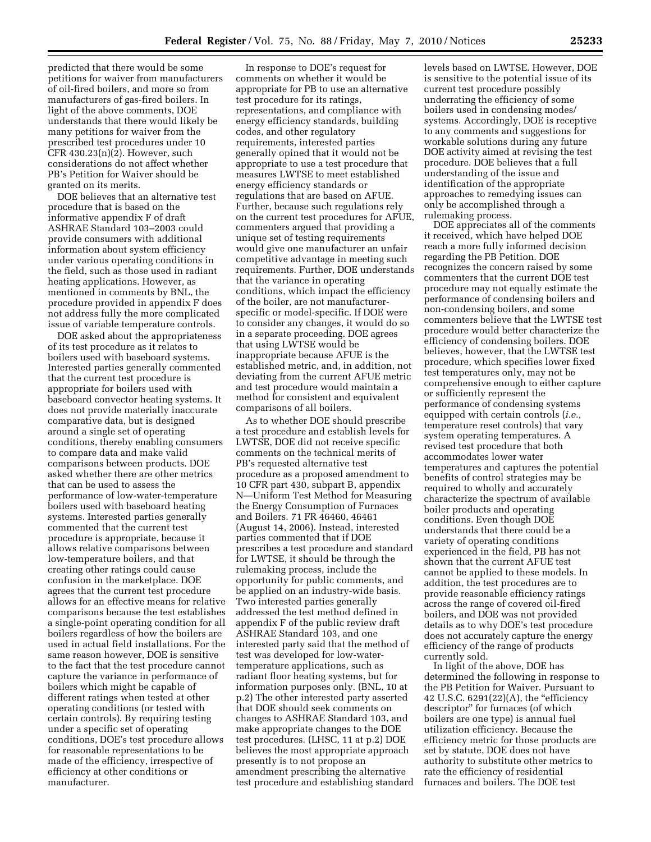predicted that there would be some petitions for waiver from manufacturers of oil-fired boilers, and more so from manufacturers of gas-fired boilers. In light of the above comments, DOE understands that there would likely be many petitions for waiver from the prescribed test procedures under 10 CFR 430.23(n)(2). However, such considerations do not affect whether PB's Petition for Waiver should be granted on its merits.

DOE believes that an alternative test procedure that is based on the informative appendix F of draft ASHRAE Standard 103–2003 could provide consumers with additional information about system efficiency under various operating conditions in the field, such as those used in radiant heating applications. However, as mentioned in comments by BNL, the procedure provided in appendix F does not address fully the more complicated issue of variable temperature controls.

DOE asked about the appropriateness of its test procedure as it relates to boilers used with baseboard systems. Interested parties generally commented that the current test procedure is appropriate for boilers used with baseboard convector heating systems. It does not provide materially inaccurate comparative data, but is designed around a single set of operating conditions, thereby enabling consumers to compare data and make valid comparisons between products. DOE asked whether there are other metrics that can be used to assess the performance of low-water-temperature boilers used with baseboard heating systems. Interested parties generally commented that the current test procedure is appropriate, because it allows relative comparisons between low-temperature boilers, and that creating other ratings could cause confusion in the marketplace. DOE agrees that the current test procedure allows for an effective means for relative comparisons because the test establishes a single-point operating condition for all boilers regardless of how the boilers are used in actual field installations. For the same reason however, DOE is sensitive to the fact that the test procedure cannot capture the variance in performance of boilers which might be capable of different ratings when tested at other operating conditions (or tested with certain controls). By requiring testing under a specific set of operating conditions, DOE's test procedure allows for reasonable representations to be made of the efficiency, irrespective of efficiency at other conditions or manufacturer.

In response to DOE's request for comments on whether it would be appropriate for PB to use an alternative test procedure for its ratings, representations, and compliance with energy efficiency standards, building codes, and other regulatory requirements, interested parties generally opined that it would not be appropriate to use a test procedure that measures LWTSE to meet established energy efficiency standards or regulations that are based on AFUE. Further, because such regulations rely on the current test procedures for AFUE, commenters argued that providing a unique set of testing requirements would give one manufacturer an unfair competitive advantage in meeting such requirements. Further, DOE understands that the variance in operating conditions, which impact the efficiency of the boiler, are not manufacturerspecific or model-specific. If DOE were to consider any changes, it would do so in a separate proceeding. DOE agrees that using LWTSE would be inappropriate because AFUE is the established metric, and, in addition, not deviating from the current AFUE metric and test procedure would maintain a method for consistent and equivalent comparisons of all boilers.

As to whether DOE should prescribe a test procedure and establish levels for LWTSE, DOE did not receive specific comments on the technical merits of PB's requested alternative test procedure as a proposed amendment to 10 CFR part 430, subpart B, appendix N—Uniform Test Method for Measuring the Energy Consumption of Furnaces and Boilers. 71 FR 46460, 46461 (August 14, 2006). Instead, interested parties commented that if DOE prescribes a test procedure and standard for LWTSE, it should be through the rulemaking process, include the opportunity for public comments, and be applied on an industry-wide basis. Two interested parties generally addressed the test method defined in appendix F of the public review draft ASHRAE Standard 103, and one interested party said that the method of test was developed for low-watertemperature applications, such as radiant floor heating systems, but for information purposes only. (BNL, 10 at p.2) The other interested party asserted that DOE should seek comments on changes to ASHRAE Standard 103, and make appropriate changes to the DOE test procedures. (LHSC, 11 at p.2) DOE believes the most appropriate approach presently is to not propose an amendment prescribing the alternative test procedure and establishing standard

levels based on LWTSE. However, DOE is sensitive to the potential issue of its current test procedure possibly underrating the efficiency of some boilers used in condensing modes/ systems. Accordingly, DOE is receptive to any comments and suggestions for workable solutions during any future DOE activity aimed at revising the test procedure. DOE believes that a full understanding of the issue and identification of the appropriate approaches to remedying issues can only be accomplished through a rulemaking process.

DOE appreciates all of the comments it received, which have helped DOE reach a more fully informed decision regarding the PB Petition. DOE recognizes the concern raised by some commenters that the current DOE test procedure may not equally estimate the performance of condensing boilers and non-condensing boilers, and some commenters believe that the LWTSE test procedure would better characterize the efficiency of condensing boilers. DOE believes, however, that the LWTSE test procedure, which specifies lower fixed test temperatures only, may not be comprehensive enough to either capture or sufficiently represent the performance of condensing systems equipped with certain controls (*i.e.,*  temperature reset controls) that vary system operating temperatures. A revised test procedure that both accommodates lower water temperatures and captures the potential benefits of control strategies may be required to wholly and accurately characterize the spectrum of available boiler products and operating conditions. Even though DOE understands that there could be a variety of operating conditions experienced in the field, PB has not shown that the current AFUE test cannot be applied to these models. In addition, the test procedures are to provide reasonable efficiency ratings across the range of covered oil-fired boilers, and DOE was not provided details as to why DOE's test procedure does not accurately capture the energy efficiency of the range of products currently sold.

In light of the above, DOE has determined the following in response to the PB Petition for Waiver. Pursuant to 42 U.S.C. 6291(22)(A), the "efficiency" descriptor'' for furnaces (of which boilers are one type) is annual fuel utilization efficiency. Because the efficiency metric for those products are set by statute, DOE does not have authority to substitute other metrics to rate the efficiency of residential furnaces and boilers. The DOE test